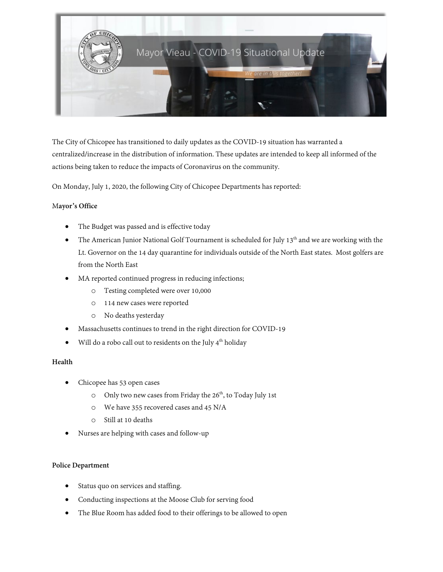

The City of Chicopee has transitioned to daily updates as the COVID-19 situation has warranted a centralized/increase in the distribution of information. These updates are intended to keep all informed of the actions being taken to reduce the impacts of Coronavirus on the community.

On Monday, July 1, 2020, the following City of Chicopee Departments has reported:

### M**ayor's Office**

- The Budget was passed and is effective today
- The American Junior National Golf Tournament is scheduled for July 13<sup>th</sup> and we are working with the Lt. Governor on the 14 day quarantine for individuals outside of the North East states. Most golfers are from the North East
- MA reported continued progress in reducing infections;
	- o Testing completed were over 10,000
	- o 114 new cases were reported
	- o No deaths yesterday
- Massachusetts continues to trend in the right direction for COVID-19
- Will do a robo call out to residents on the July  $4<sup>th</sup>$  holiday

# **Health**

- Chicopee has 53 open cases
	- $\circ$  Only two new cases from Friday the 26<sup>th</sup>, to Today July 1st
	- o We have 355 recovered cases and 45 N/A
	- o Still at 10 deaths
- Nurses are helping with cases and follow-up

#### **Police Department**

- Status quo on services and staffing.
- Conducting inspections at the Moose Club for serving food
- The Blue Room has added food to their offerings to be allowed to open